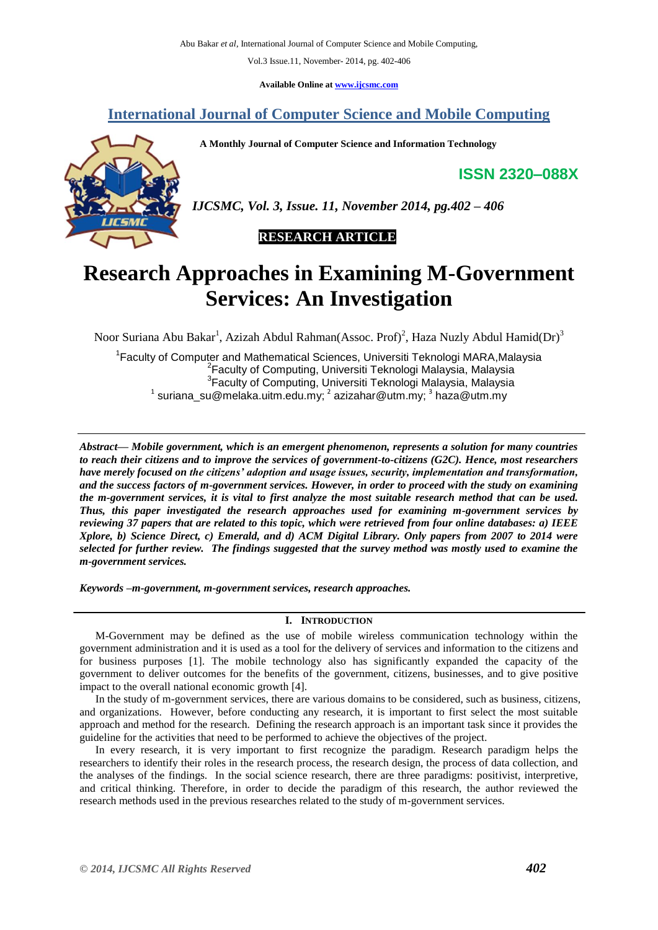**Available Online at [www.ijcsmc.com](http://www.ijcsmc.com/)**

# **International Journal of Computer Science and Mobile Computing**

 **A Monthly Journal of Computer Science and Information Technology**

**ISSN 2320–088X**



*IJCSMC, Vol. 3, Issue. 11, November 2014, pg.402 – 406*



# **Research Approaches in Examining M-Government Services: An Investigation**

Noor Suriana Abu Bakar<sup>1</sup>, Azizah Abdul Rahman(Assoc. Prof)<sup>2</sup>, Haza Nuzly Abdul Hamid(Dr)<sup>3</sup>

<sup>1</sup> Faculty of Computer and Mathematical Sciences, Universiti Teknologi MARA, Malaysia <sup>2</sup> Faculty of Computing, Universiti Teknologi Malaysia, Malaysia <sup>3</sup> Faculty of Computing, Universiti Teknologi Malaysia, Malaysia  $^{1}$  suriana\_su@melaka.uitm.edu.my;  $^{2}$  azizahar@utm.my;  $^{3}$  haza@utm.my

*Abstract— Mobile government, which is an emergent phenomenon, represents a solution for many countries to reach their citizens and to improve the services of government-to-citizens (G2C). Hence, most researchers have merely focused on the citizens' adoption and usage issues, security, implementation and transformation, and the success factors of m-government services. However, in order to proceed with the study on examining the m-government services, it is vital to first analyze the most suitable research method that can be used. Thus, this paper investigated the research approaches used for examining m-government services by reviewing 37 papers that are related to this topic, which were retrieved from four online databases: a) IEEE Xplore, b) Science Direct, c) Emerald, and d) ACM Digital Library. Only papers from 2007 to 2014 were selected for further review. The findings suggested that the survey method was mostly used to examine the m-government services.*

*Keywords –m-government, m-government services, research approaches.*

# **I. INTRODUCTION**

M-Government may be defined as the use of mobile wireless communication technology within the government administration and it is used as a tool for the delivery of services and information to the citizens and for business purposes [1]. The mobile technology also has significantly expanded the capacity of the government to deliver outcomes for the benefits of the government, citizens, businesses, and to give positive impact to the overall national economic growth [4].

In the study of m-government services, there are various domains to be considered, such as business, citizens, and organizations. However, before conducting any research, it is important to first select the most suitable approach and method for the research. Defining the research approach is an important task since it provides the guideline for the activities that need to be performed to achieve the objectives of the project.

In every research, it is very important to first recognize the paradigm. Research paradigm helps the researchers to identify their roles in the research process, the research design, the process of data collection, and the analyses of the findings. In the social science research, there are three paradigms: positivist, interpretive, and critical thinking. Therefore, in order to decide the paradigm of this research, the author reviewed the research methods used in the previous researches related to the study of m-government services.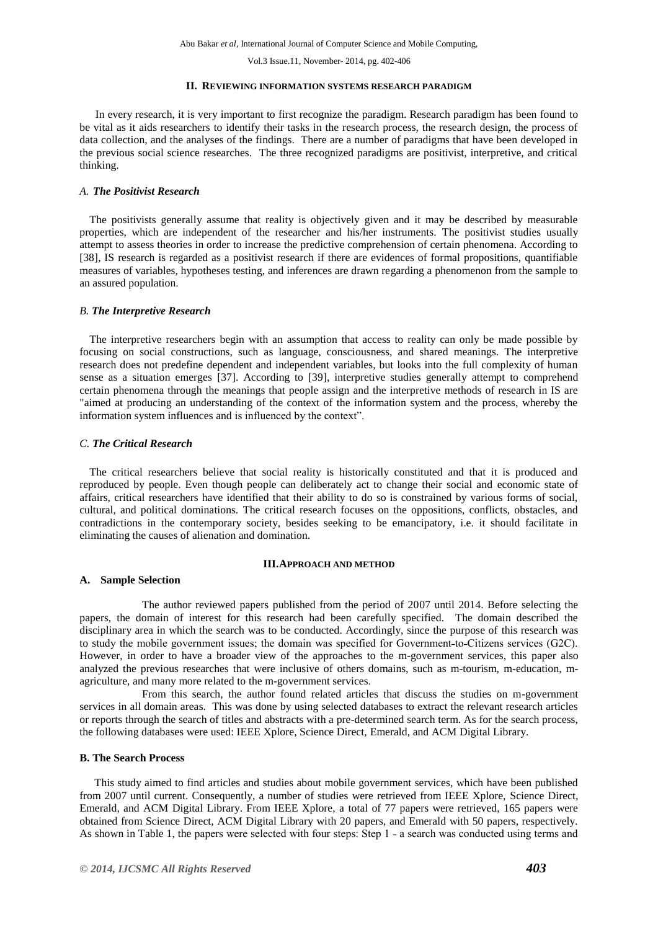#### **II. REVIEWING INFORMATION SYSTEMS RESEARCH PARADIGM**

In every research, it is very important to first recognize the paradigm. Research paradigm has been found to be vital as it aids researchers to identify their tasks in the research process, the research design, the process of data collection, and the analyses of the findings. There are a number of paradigms that have been developed in the previous social science researches. The three recognized paradigms are positivist, interpretive, and critical thinking.

# *A. The Positivist Research*

The positivists generally assume that reality is objectively given and it may be described by measurable properties, which are independent of the researcher and his/her instruments. The positivist studies usually attempt to assess theories in order to increase the predictive comprehension of certain phenomena. According to [38], IS research is regarded as a positivist research if there are evidences of formal propositions, quantifiable measures of variables, hypotheses testing, and inferences are drawn regarding a phenomenon from the sample to an assured population.

## *B. The Interpretive Research*

The interpretive researchers begin with an assumption that access to reality can only be made possible by focusing on social constructions, such as language, consciousness, and shared meanings. The interpretive research does not predefine dependent and independent variables, but looks into the full complexity of human sense as a situation emerges [37]. According to [39], interpretive studies generally attempt to comprehend certain phenomena through the meanings that people assign and the interpretive methods of research in IS are "aimed at producing an understanding of the context of the information system and the process, whereby the information system influences and is influenced by the context".

#### *C. The Critical Research*

The critical researchers believe that social reality is historically constituted and that it is produced and reproduced by people. Even though people can deliberately act to change their social and economic state of affairs, critical researchers have identified that their ability to do so is constrained by various forms of social, cultural, and political dominations. The critical research focuses on the oppositions, conflicts, obstacles, and contradictions in the contemporary society, besides seeking to be emancipatory, i.e. it should facilitate in eliminating the causes of alienation and domination.

#### **III.APPROACH AND METHOD**

#### **A. Sample Selection**

The author reviewed papers published from the period of 2007 until 2014. Before selecting the papers, the domain of interest for this research had been carefully specified. The domain described the disciplinary area in which the search was to be conducted. Accordingly, since the purpose of this research was to study the mobile government issues; the domain was specified for Government-to-Citizens services (G2C). However, in order to have a broader view of the approaches to the m-government services, this paper also analyzed the previous researches that were inclusive of others domains, such as m-tourism, m-education, magriculture, and many more related to the m-government services.

From this search, the author found related articles that discuss the studies on m-government services in all domain areas. This was done by using selected databases to extract the relevant research articles or reports through the search of titles and abstracts with a pre-determined search term. As for the search process, the following databases were used: IEEE Xplore, Science Direct, Emerald, and ACM Digital Library.

## **B. The Search Process**

This study aimed to find articles and studies about mobile government services, which have been published from 2007 until current. Consequently, a number of studies were retrieved from IEEE Xplore, Science Direct, Emerald, and ACM Digital Library. From IEEE Xplore, a total of 77 papers were retrieved, 165 papers were obtained from Science Direct, ACM Digital Library with 20 papers, and Emerald with 50 papers, respectively. As shown in Table 1, the papers were selected with four steps: Step 1 - a search was conducted using terms and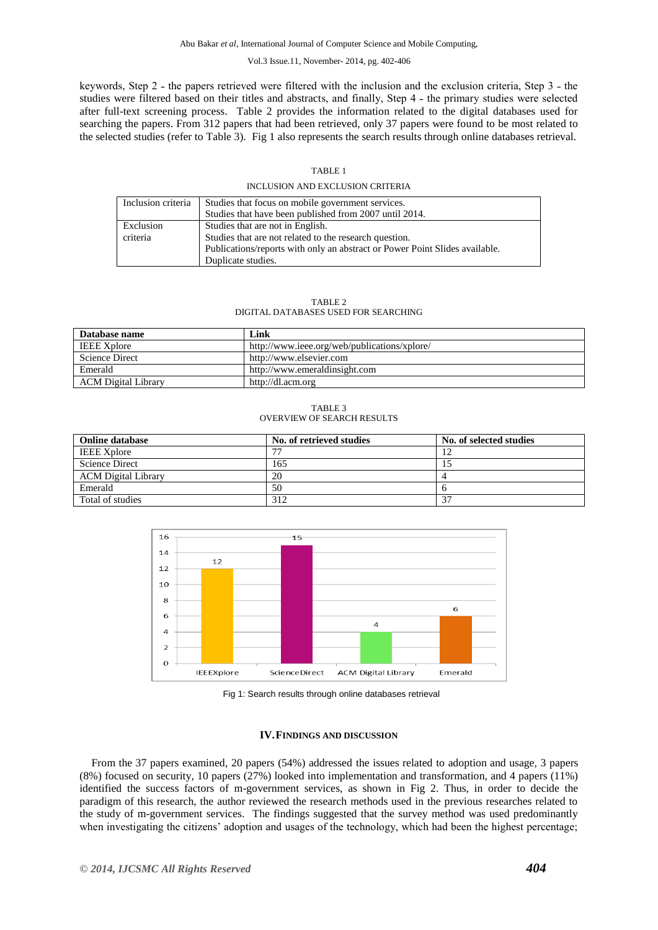keywords, Step 2 - the papers retrieved were filtered with the inclusion and the exclusion criteria, Step 3 - the studies were filtered based on their titles and abstracts, and finally, Step 4 - the primary studies were selected after full-text screening process. Table 2 provides the information related to the digital databases used for searching the papers. From 312 papers that had been retrieved, only 37 papers were found to be most related to the selected studies (refer to Table 3). Fig 1 also represents the search results through online databases retrieval.

#### TABLE 1

#### INCLUSION AND EXCLUSION CRITERIA

| Inclusion criteria | Studies that focus on mobile government services.<br>Studies that have been published from 2007 until 2014. |
|--------------------|-------------------------------------------------------------------------------------------------------------|
| Exclusion          | Studies that are not in English.                                                                            |
| criteria           | Studies that are not related to the research question.                                                      |
|                    | Publications/reports with only an abstract or Power Point Slides available.                                 |
|                    | Duplicate studies.                                                                                          |

#### TABLE 2 DIGITAL DATABASES USED FOR SEARCHING

| Database name              | Link                                         |
|----------------------------|----------------------------------------------|
| <b>IEEE Xplore</b>         | http://www.ieee.org/web/publications/xplore/ |
| <b>Science Direct</b>      | http://www.elsevier.com                      |
| Emerald                    | http://www.emeraldinsight.com                |
| <b>ACM</b> Digital Library | http://dl.acm.org                            |

TABLE 3 OVERVIEW OF SEARCH RESULTS

| <b>Online database</b>     | No. of retrieved studies | No. of selected studies |
|----------------------------|--------------------------|-------------------------|
| <b>IEEE Xplore</b>         |                          |                         |
| <b>Science Direct</b>      | 165                      |                         |
| <b>ACM</b> Digital Library | 20                       |                         |
| Emerald                    | 50                       |                         |
| Total of studies           | 312                      | 37                      |



Fig 1: Search results through online databases retrieval

#### **IV.FINDINGS AND DISCUSSION**

From the 37 papers examined, 20 papers (54%) addressed the issues related to adoption and usage, 3 papers (8%) focused on security, 10 papers (27%) looked into implementation and transformation, and 4 papers (11%) identified the success factors of m-government services, as shown in Fig 2. Thus, in order to decide the paradigm of this research, the author reviewed the research methods used in the previous researches related to the study of m-government services. The findings suggested that the survey method was used predominantly when investigating the citizens' adoption and usages of the technology, which had been the highest percentage;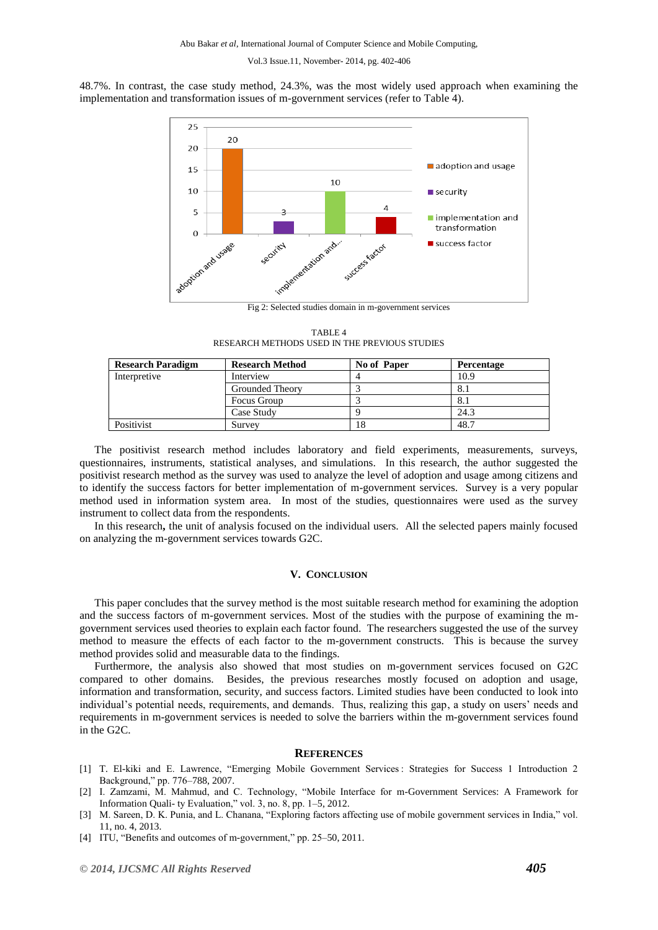48.7%. In contrast, the case study method, 24.3%, was the most widely used approach when examining the implementation and transformation issues of m-government services (refer to Table 4).



TABLE 4 RESEARCH METHODS USED IN THE PREVIOUS STUDIES

| <b>Research Paradigm</b> | <b>Research Method</b> | No of Paper | Percentage |
|--------------------------|------------------------|-------------|------------|
| Interpretive             | Interview              |             | 10.9       |
|                          | Grounded Theory        |             | 8.1        |
|                          | Focus Group            |             | 8.1        |
|                          | Case Study             |             | 24.3       |
| Positivist               | Survey                 | 18          | 48.7       |

The positivist research method includes laboratory and field experiments, measurements, surveys, questionnaires, instruments, statistical analyses, and simulations. In this research, the author suggested the positivist research method as the survey was used to analyze the level of adoption and usage among citizens and to identify the success factors for better implementation of m-government services. Survey is a very popular method used in information system area. In most of the studies, questionnaires were used as the survey instrument to collect data from the respondents.

In this research**,** the unit of analysis focused on the individual users. All the selected papers mainly focused on analyzing the m-government services towards G2C.

# **V. CONCLUSION**

This paper concludes that the survey method is the most suitable research method for examining the adoption and the success factors of m-government services. Most of the studies with the purpose of examining the mgovernment services used theories to explain each factor found. The researchers suggested the use of the survey method to measure the effects of each factor to the m-government constructs. This is because the survey method provides solid and measurable data to the findings.

Furthermore, the analysis also showed that most studies on m-government services focused on G2C compared to other domains. Besides, the previous researches mostly focused on adoption and usage, information and transformation, security, and success factors. Limited studies have been conducted to look into individual's potential needs, requirements, and demands. Thus, realizing this gap, a study on users' needs and requirements in m-government services is needed to solve the barriers within the m-government services found in the G2C.

# **REFERENCES**

- [1] T. El-kiki and E. Lawrence, "Emerging Mobile Government Services : Strategies for Success 1 Introduction 2 Background," pp. 776–788, 2007.
- [2] I. Zamzami, M. Mahmud, and C. Technology, "Mobile Interface for m-Government Services: A Framework for Information Quali- ty Evaluation," vol. 3, no. 8, pp. 1–5, 2012.
- [3] M. Sareen, D. K. Punia, and L. Chanana, "Exploring factors affecting use of mobile government services in India," vol. 11, no. 4, 2013.
- [4] ITU, "Benefits and outcomes of m-government," pp. 25–50, 2011.